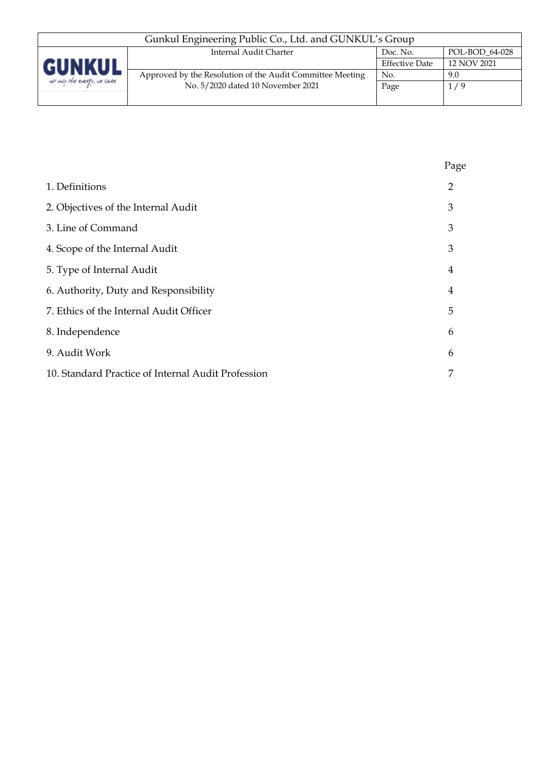| Gunkul Engineering Public Co., Ltd. and GUNKUL's Group |                                                           |                       |                |  |
|--------------------------------------------------------|-----------------------------------------------------------|-----------------------|----------------|--|
|                                                        | Internal Audit Charter                                    | Doc. No.              | POL-BOD 64-028 |  |
| <b>GUNKUL</b>                                          |                                                           | <b>Effective Date</b> | 12 NOV 2021    |  |
|                                                        | Approved by the Resolution of the Audit Committee Meeting | No.                   | 9.0            |  |
| for only the every, we care                            | No. 5/2020 dated 10 November 2021                         | Page                  | 1/9            |  |
|                                                        |                                                           |                       |                |  |

|                                                    | Page           |
|----------------------------------------------------|----------------|
| 1. Definitions                                     | $\overline{2}$ |
| 2. Objectives of the Internal Audit                | 3              |
| 3. Line of Command                                 | 3              |
| 4. Scope of the Internal Audit                     | 3              |
| 5. Type of Internal Audit                          | 4              |
| 6. Authority, Duty and Responsibility              | 4              |
| 7. Ethics of the Internal Audit Officer            | 5              |
| 8. Independence                                    | 6              |
| 9. Audit Work                                      | 6              |
| 10. Standard Practice of Internal Audit Profession | 7              |
|                                                    |                |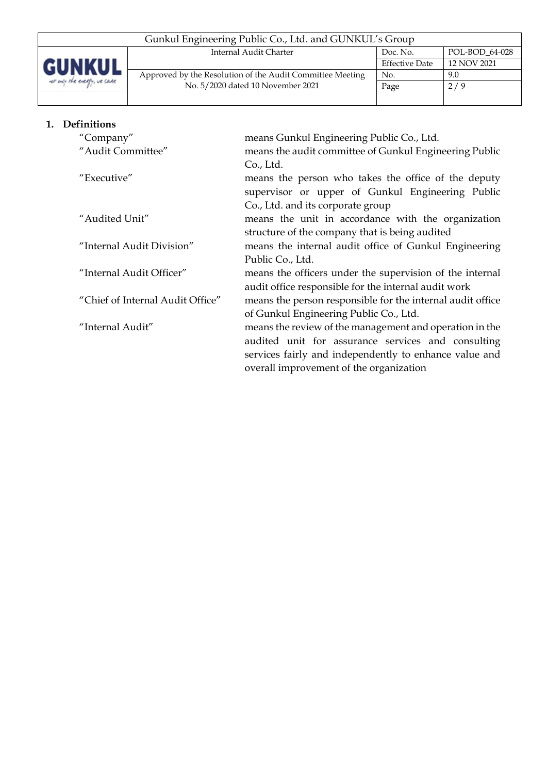| Gunkul Engineering Public Co., Ltd. and GUNKUL's Group |                                                           |                       |                |  |  |
|--------------------------------------------------------|-----------------------------------------------------------|-----------------------|----------------|--|--|
| <b>GUNKUL</b><br>not only the every, we care           | Internal Audit Charter                                    | Doc. No.              | POL-BOD 64-028 |  |  |
|                                                        |                                                           | <b>Effective Date</b> | 12 NOV 2021    |  |  |
|                                                        | Approved by the Resolution of the Audit Committee Meeting | No.                   | 9.0            |  |  |
|                                                        | No. 5/2020 dated 10 November 2021                         | Page                  | 2/9            |  |  |
|                                                        |                                                           |                       |                |  |  |

|                           | 1. Definitions                   |                                                            |
|---------------------------|----------------------------------|------------------------------------------------------------|
|                           | "Company"                        | means Gunkul Engineering Public Co., Ltd.                  |
|                           | "Audit Committee"                | means the audit committee of Gunkul Engineering Public     |
|                           |                                  | Co., Ltd.                                                  |
|                           | "Executive"                      | means the person who takes the office of the deputy        |
|                           |                                  | supervisor or upper of Gunkul Engineering Public           |
|                           |                                  | Co., Ltd. and its corporate group                          |
|                           | "Audited Unit"                   | means the unit in accordance with the organization         |
|                           |                                  | structure of the company that is being audited             |
| "Internal Audit Division" |                                  | means the internal audit office of Gunkul Engineering      |
|                           |                                  | Public Co., Ltd.                                           |
|                           | "Internal Audit Officer"         | means the officers under the supervision of the internal   |
|                           |                                  | audit office responsible for the internal audit work       |
|                           | "Chief of Internal Audit Office" | means the person responsible for the internal audit office |
|                           |                                  | of Gunkul Engineering Public Co., Ltd.                     |
|                           | "Internal Audit"                 | means the review of the management and operation in the    |
|                           |                                  | audited unit for assurance services and consulting         |
|                           |                                  | services fairly and independently to enhance value and     |
|                           |                                  | overall improvement of the organization                    |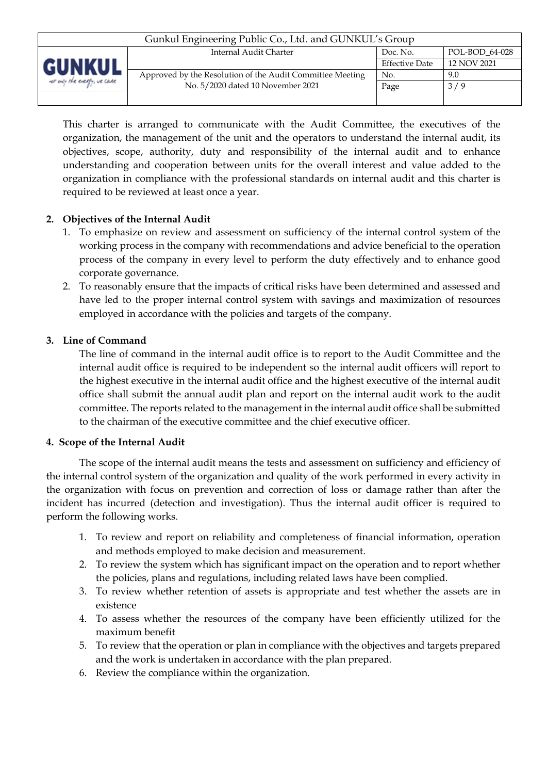| Gunkul Engineering Public Co., Ltd. and GUNKUL's Group |                                                           |                       |                |  |
|--------------------------------------------------------|-----------------------------------------------------------|-----------------------|----------------|--|
|                                                        | Internal Audit Charter                                    | Doc. No.              | POL-BOD 64-028 |  |
| <b>GUNKUL</b><br>for only the every, we care           |                                                           | <b>Effective Date</b> | 12 NOV 2021    |  |
|                                                        | Approved by the Resolution of the Audit Committee Meeting | No.                   | 9.0            |  |
|                                                        | No. 5/2020 dated 10 November 2021                         | Page                  | 3/9            |  |
|                                                        |                                                           |                       |                |  |

This charter is arranged to communicate with the Audit Committee, the executives of the organization, the management of the unit and the operators to understand the internal audit, its objectives, scope, authority, duty and responsibility of the internal audit and to enhance understanding and cooperation between units for the overall interest and value added to the organization in compliance with the professional standards on internal audit and this charter is required to be reviewed at least once a year.

## **2. Objectives of the Internal Audit**

- 1. To emphasize on review and assessment on sufficiency of the internal control system of the working process in the company with recommendations and advice beneficial to the operation process of the company in every level to perform the duty effectively and to enhance good corporate governance.
- 2. To reasonably ensure that the impacts of critical risks have been determined and assessed and have led to the proper internal control system with savings and maximization of resources employed in accordance with the policies and targets of the company.

### **3. Line of Command**

The line of command in the internal audit office is to report to the Audit Committee and the internal audit office is required to be independent so the internal audit officers will report to the highest executive in the internal audit office and the highest executive of the internal audit office shall submit the annual audit plan and report on the internal audit work to the audit committee. The reports related to the management in the internal audit office shall be submitted to the chairman of the executive committee and the chief executive officer.

#### **4. Scope of the Internal Audit**

The scope of the internal audit means the tests and assessment on sufficiency and efficiency of the internal control system of the organization and quality of the work performed in every activity in the organization with focus on prevention and correction of loss or damage rather than after the incident has incurred (detection and investigation). Thus the internal audit officer is required to perform the following works.

- 1. To review and report on reliability and completeness of financial information, operation and methods employed to make decision and measurement.
- 2. To review the system which has significant impact on the operation and to report whether the policies, plans and regulations, including related laws have been complied.
- 3. To review whether retention of assets is appropriate and test whether the assets are in existence
- 4. To assess whether the resources of the company have been efficiently utilized for the maximum benefit
- 5. To review that the operation or plan in compliance with the objectives and targets prepared and the work is undertaken in accordance with the plan prepared.
- 6. Review the compliance within the organization.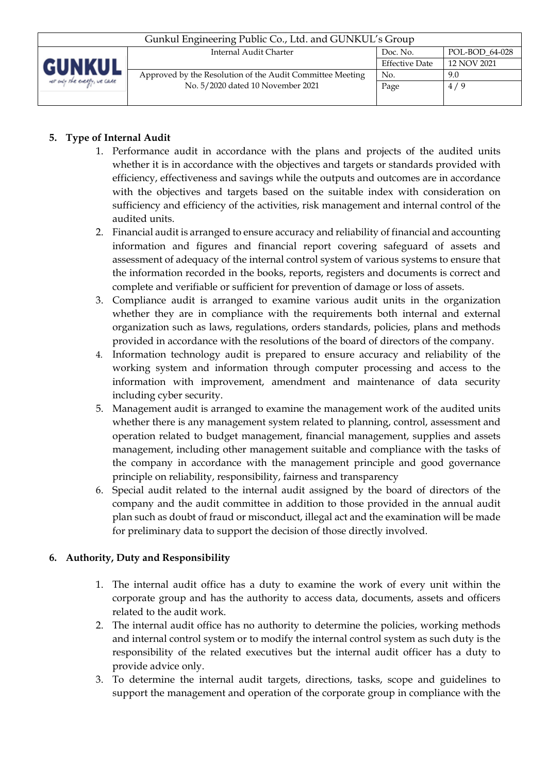| Gunkul Engineering Public Co., Ltd. and GUNKUL's Group |                                                           |                       |                |  |  |
|--------------------------------------------------------|-----------------------------------------------------------|-----------------------|----------------|--|--|
|                                                        | Internal Audit Charter                                    | Doc. No.              | POL-BOD 64-028 |  |  |
| GUNKUL<br>for only the every, we care                  |                                                           | <b>Effective Date</b> | 12 NOV 2021    |  |  |
|                                                        | Approved by the Resolution of the Audit Committee Meeting | No.                   | 9.0            |  |  |
|                                                        | No. 5/2020 dated 10 November 2021                         | Page                  | 4/9            |  |  |
|                                                        |                                                           |                       |                |  |  |

# **5. Type of Internal Audit**

- 1. Performance audit in accordance with the plans and projects of the audited units whether it is in accordance with the objectives and targets or standards provided with efficiency, effectiveness and savings while the outputs and outcomes are in accordance with the objectives and targets based on the suitable index with consideration on sufficiency and efficiency of the activities, risk management and internal control of the audited units.
- 2. Financial audit is arranged to ensure accuracy and reliability of financial and accounting information and figures and financial report covering safeguard of assets and assessment of adequacy of the internal control system of various systems to ensure that the information recorded in the books, reports, registers and documents is correct and complete and verifiable or sufficient for prevention of damage or loss of assets.
- 3. Compliance audit is arranged to examine various audit units in the organization whether they are in compliance with the requirements both internal and external organization such as laws, regulations, orders standards, policies, plans and methods provided in accordance with the resolutions of the board of directors of the company.
- 4. Information technology audit is prepared to ensure accuracy and reliability of the working system and information through computer processing and access to the information with improvement, amendment and maintenance of data security including cyber security.
- 5. Management audit is arranged to examine the management work of the audited units whether there is any management system related to planning, control, assessment and operation related to budget management, financial management, supplies and assets management, including other management suitable and compliance with the tasks of the company in accordance with the management principle and good governance principle on reliability, responsibility, fairness and transparency
- 6. Special audit related to the internal audit assigned by the board of directors of the company and the audit committee in addition to those provided in the annual audit plan such as doubt of fraud or misconduct, illegal act and the examination will be made for preliminary data to support the decision of those directly involved.

### **6. Authority, Duty and Responsibility**

- 1. The internal audit office has a duty to examine the work of every unit within the corporate group and has the authority to access data, documents, assets and officers related to the audit work.
- 2. The internal audit office has no authority to determine the policies, working methods and internal control system or to modify the internal control system as such duty is the responsibility of the related executives but the internal audit officer has a duty to provide advice only.
- 3. To determine the internal audit targets, directions, tasks, scope and guidelines to support the management and operation of the corporate group in compliance with the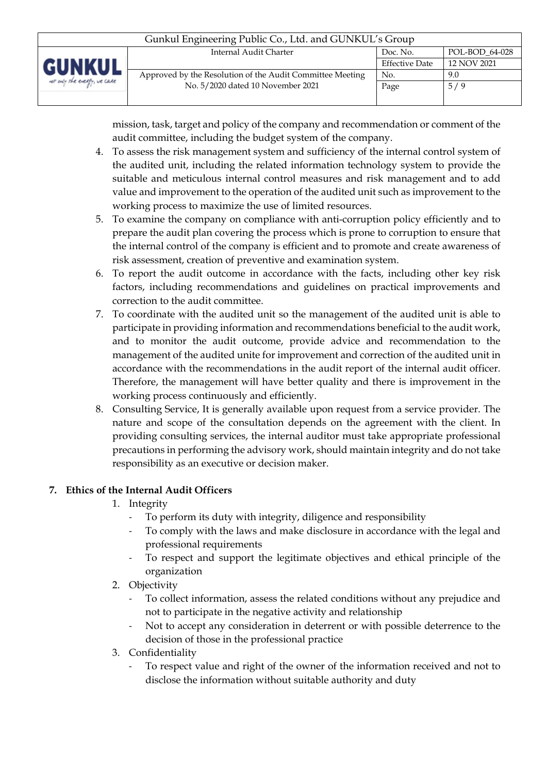| Gunkul Engineering Public Co., Ltd. and GUNKUL's Group |                                                           |                       |                |  |
|--------------------------------------------------------|-----------------------------------------------------------|-----------------------|----------------|--|
|                                                        | Internal Audit Charter                                    | Doc. No.              | POL-BOD 64-028 |  |
| GUNKUL<br>net only the energy, we care                 |                                                           | <b>Effective Date</b> | 12 NOV 2021    |  |
|                                                        | Approved by the Resolution of the Audit Committee Meeting | No.                   | 9.0            |  |
|                                                        | No. 5/2020 dated 10 November 2021                         | Page                  | 5/9            |  |
|                                                        |                                                           |                       |                |  |

mission, task, target and policy of the company and recommendation or comment of the audit committee, including the budget system of the company.

- 4. To assess the risk management system and sufficiency of the internal control system of the audited unit, including the related information technology system to provide the suitable and meticulous internal control measures and risk management and to add value and improvement to the operation of the audited unit such as improvement to the working process to maximize the use of limited resources.
- 5. To examine the company on compliance with anti-corruption policy efficiently and to prepare the audit plan covering the process which is prone to corruption to ensure that the internal control of the company is efficient and to promote and create awareness of risk assessment, creation of preventive and examination system.
- 6. To report the audit outcome in accordance with the facts, including other key risk factors, including recommendations and guidelines on practical improvements and correction to the audit committee.
- 7. To coordinate with the audited unit so the management of the audited unit is able to participate in providing information and recommendations beneficial to the audit work, and to monitor the audit outcome, provide advice and recommendation to the management of the audited unite for improvement and correction of the audited unit in accordance with the recommendations in the audit report of the internal audit officer. Therefore, the management will have better quality and there is improvement in the working process continuously and efficiently.
- 8. Consulting Service, It is generally available upon request from a service provider. The nature and scope of the consultation depends on the agreement with the client. In providing consulting services, the internal auditor must take appropriate professional precautions in performing the advisory work, should maintain integrity and do not take responsibility as an executive or decision maker.

# **7. Ethics of the Internal Audit Officers**

- 1. Integrity
	- To perform its duty with integrity, diligence and responsibility
	- To comply with the laws and make disclosure in accordance with the legal and professional requirements
	- To respect and support the legitimate objectives and ethical principle of the organization
- 2. Objectivity
	- To collect information, assess the related conditions without any prejudice and not to participate in the negative activity and relationship
	- Not to accept any consideration in deterrent or with possible deterrence to the decision of those in the professional practice
- 3. Confidentiality
	- To respect value and right of the owner of the information received and not to disclose the information without suitable authority and duty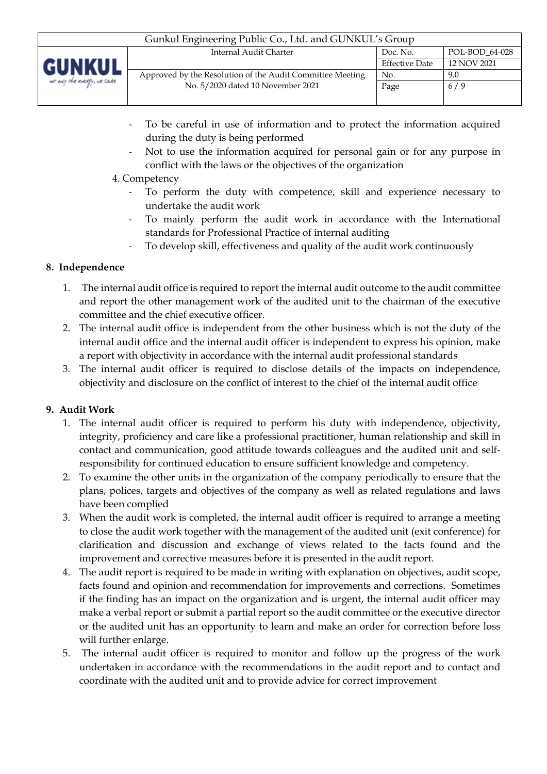| Gunkul Engineering Public Co., Ltd. and GUNKUL's Group |                                                           |                       |                |  |
|--------------------------------------------------------|-----------------------------------------------------------|-----------------------|----------------|--|
|                                                        | Internal Audit Charter                                    | Doc. No.              | POL-BOD 64-028 |  |
| <b>GUNKUL</b>                                          |                                                           | <b>Effective Date</b> | 12 NOV 2021    |  |
|                                                        | Approved by the Resolution of the Audit Committee Meeting | No.                   | 9.0            |  |
| net only the energy, we care                           | No. 5/2020 dated 10 November 2021                         | Page                  | 6/9            |  |
|                                                        |                                                           |                       |                |  |

- To be careful in use of information and to protect the information acquired during the duty is being performed
- Not to use the information acquired for personal gain or for any purpose in conflict with the laws or the objectives of the organization
- 4. Competency
	- To perform the duty with competence, skill and experience necessary to undertake the audit work
	- To mainly perform the audit work in accordance with the International standards for Professional Practice of internal auditing
	- To develop skill, effectiveness and quality of the audit work continuously

### **8. Independence**

- 1. The internal audit office is required to report the internal audit outcome to the audit committee and report the other management work of the audited unit to the chairman of the executive committee and the chief executive officer.
- 2. The internal audit office is independent from the other business which is not the duty of the internal audit office and the internal audit officer is independent to express his opinion, make a report with objectivity in accordance with the internal audit professional standards
- 3. The internal audit officer is required to disclose details of the impacts on independence, objectivity and disclosure on the conflict of interest to the chief of the internal audit office

### **9. Audit Work**

- 1. The internal audit officer is required to perform his duty with independence, objectivity, integrity, proficiency and care like a professional practitioner, human relationship and skill in contact and communication, good attitude towards colleagues and the audited unit and selfresponsibility for continued education to ensure sufficient knowledge and competency.
- 2. To examine the other units in the organization of the company periodically to ensure that the plans, polices, targets and objectives of the company as well as related regulations and laws have been complied
- 3. When the audit work is completed, the internal audit officer is required to arrange a meeting to close the audit work together with the management of the audited unit (exit conference) for clarification and discussion and exchange of views related to the facts found and the improvement and corrective measures before it is presented in the audit report.
- 4. The audit report is required to be made in writing with explanation on objectives, audit scope, facts found and opinion and recommendation for improvements and corrections. Sometimes if the finding has an impact on the organization and is urgent, the internal audit officer may make a verbal report or submit a partial report so the audit committee or the executive director or the audited unit has an opportunity to learn and make an order for correction before loss will further enlarge.
- 5. The internal audit officer is required to monitor and follow up the progress of the work undertaken in accordance with the recommendations in the audit report and to contact and coordinate with the audited unit and to provide advice for correct improvement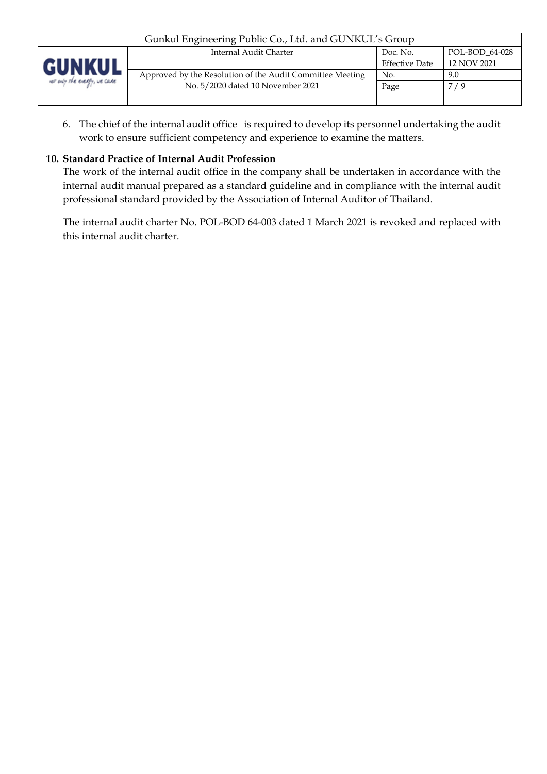| Gunkul Engineering Public Co., Ltd. and GUNKUL's Group |                                                           |                       |                |  |
|--------------------------------------------------------|-----------------------------------------------------------|-----------------------|----------------|--|
|                                                        | Internal Audit Charter                                    | Doc. No.              | POL-BOD 64-028 |  |
| <b>GUNKUL</b>                                          |                                                           | <b>Effective Date</b> | 12 NOV 2021    |  |
|                                                        | Approved by the Resolution of the Audit Committee Meeting | No.                   | 9.0            |  |
| not only the every, we care                            | No. 5/2020 dated 10 November 2021                         | Page                  | 7/9            |  |
|                                                        |                                                           |                       |                |  |

6. The chief of the internal audit office is required to develop its personnel undertaking the audit work to ensure sufficient competency and experience to examine the matters.

## **10. Standard Practice of Internal Audit Profession**

The work of the internal audit office in the company shall be undertaken in accordance with the internal audit manual prepared as a standard guideline and in compliance with the internal audit professional standard provided by the Association of Internal Auditor of Thailand.

The internal audit charter No. POL-BOD 64-003 dated 1 March 2021 is revoked and replaced with this internal audit charter.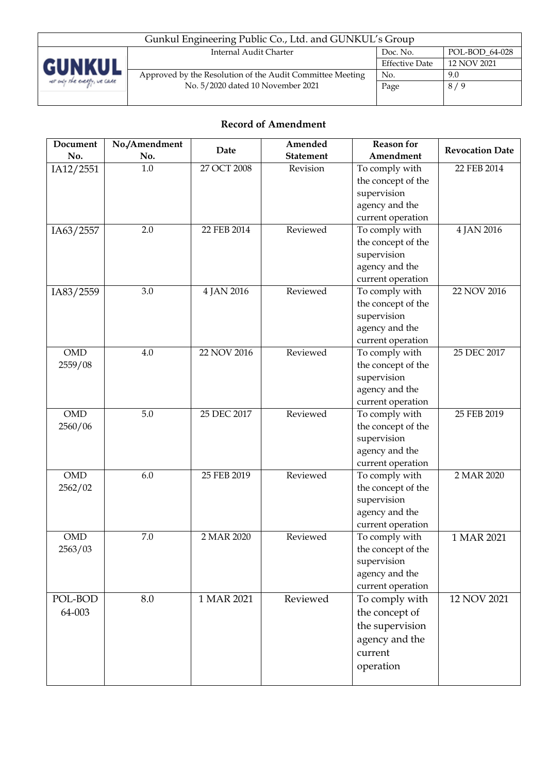

| Gunkul Engineering Public Co., Ltd. and GUNKUL's Group    |                       |                |  |  |
|-----------------------------------------------------------|-----------------------|----------------|--|--|
| Internal Audit Charter                                    | Doc. No.              | POL-BOD 64-028 |  |  |
|                                                           | <b>Effective Date</b> | 12 NOV 2021    |  |  |
| Approved by the Resolution of the Audit Committee Meeting | No.                   | 9.0            |  |  |
| No. 5/2020 dated 10 November 2021                         | Page                  | 8/9            |  |  |
|                                                           |                       |                |  |  |

# **Record of Amendment**

| Document   | No./Amendment | Date        | Amended          | <b>Reason for</b>  | <b>Revocation Date</b> |
|------------|---------------|-------------|------------------|--------------------|------------------------|
| No.        | No.           |             | <b>Statement</b> | Amendment          |                        |
| IA12/2551  | 1.0           | 27 OCT 2008 | Revision         | To comply with     | 22 FEB 2014            |
|            |               |             |                  | the concept of the |                        |
|            |               |             |                  | supervision        |                        |
|            |               |             |                  | agency and the     |                        |
|            |               |             |                  | current operation  |                        |
| IA63/2557  | 2.0           | 22 FEB 2014 | Reviewed         | To comply with     | 4 JAN 2016             |
|            |               |             |                  | the concept of the |                        |
|            |               |             |                  | supervision        |                        |
|            |               |             |                  | agency and the     |                        |
|            |               |             |                  | current operation  |                        |
| IA83/2559  | 3.0           | 4 JAN 2016  | Reviewed         | To comply with     | 22 NOV 2016            |
|            |               |             |                  | the concept of the |                        |
|            |               |             |                  | supervision        |                        |
|            |               |             |                  | agency and the     |                        |
|            |               |             |                  | current operation  |                        |
| <b>OMD</b> | 4.0           | 22 NOV 2016 | Reviewed         | To comply with     | 25 DEC 2017            |
| 2559/08    |               |             |                  | the concept of the |                        |
|            |               |             |                  | supervision        |                        |
|            |               |             |                  | agency and the     |                        |
|            |               |             |                  | current operation  |                        |
| <b>OMD</b> | 5.0           | 25 DEC 2017 | Reviewed         | To comply with     | 25 FEB 2019            |
| 2560/06    |               |             |                  | the concept of the |                        |
|            |               |             |                  | supervision        |                        |
|            |               |             |                  | agency and the     |                        |
|            |               |             |                  | current operation  |                        |
| <b>OMD</b> | 6.0           | 25 FEB 2019 | Reviewed         | To comply with     | 2 MAR 2020             |
| 2562/02    |               |             |                  | the concept of the |                        |
|            |               |             |                  | supervision        |                        |
|            |               |             |                  | agency and the     |                        |
|            |               |             |                  | current operation  |                        |
| <b>OMD</b> | 7.0           | 2 MAR 2020  | Reviewed         | To comply with     | 1 MAR 2021             |
| 2563/03    |               |             |                  | the concept of the |                        |
|            |               |             |                  | supervision        |                        |
|            |               |             |                  | agency and the     |                        |
|            |               |             |                  | current operation  |                        |
| POL-BOD    | 8.0           | 1 MAR 2021  | Reviewed         | To comply with     | 12 NOV 2021            |
| 64-003     |               |             |                  | the concept of     |                        |
|            |               |             |                  | the supervision    |                        |
|            |               |             |                  | agency and the     |                        |
|            |               |             |                  | current            |                        |
|            |               |             |                  |                    |                        |
|            |               |             |                  | operation          |                        |
|            |               |             |                  |                    |                        |